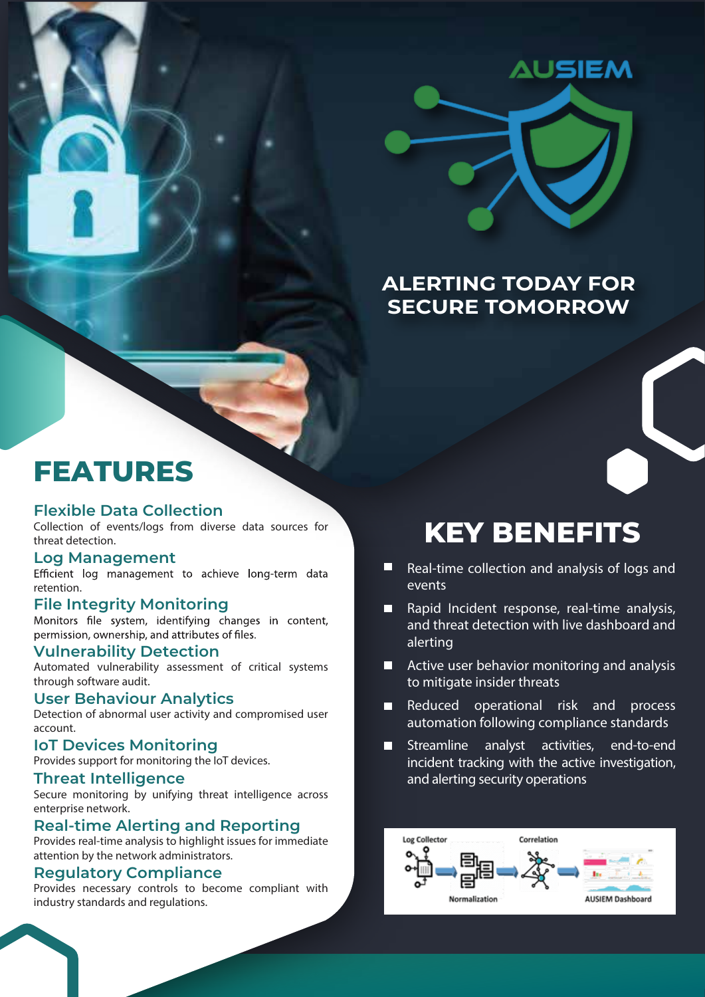

### **ALERTING TODAY FOR SECURE TOMORROW**

### **FEATURES**

### **Flexible Data Collection**

Collection of events/logs from diverse data sources for threat detection.

**Log Management**<br>Efficient log management to achieve long-term data retention.

**File Integrity Monitoring**<br>Monitors file system, identifying changes in content, permission, ownership, and attributes of files.

#### **Vulnerability Detection**

Automated vulnerability assessment of critical systems through software audit.

#### **User Behaviour Analytics**

Detection of abnormal user activity and compromised user account.

#### **IoT Devices Monitoring**

Provides support for monitoring the IoT devices.

#### **Threat Intelligence**

Secure monitoring by unifying threat intelligence across enterprise network.

### **Real-time Alerting and Reporting**

Provides real-time analysis to highlight issues for immediate attention by the network administrators.

#### **Regulatory Compliance**

Provides necessary controls to become compliant with industry standards and regulations.

# **KEY BENEFITS**

- Real-time collection and analysis of logs and  $\Box$ events
- Rapid Incident response, real-time analysis, and threat detection with live dashboard and alerting
- $\blacksquare$  Active user behavior monitoring and analysis to mitigate insider threats
- Reduced operational risk and process  $\blacksquare$ automation following compliance standards
- Streamline analyst activities, end-to-end incident tracking with the active investigation, and alerting security operations